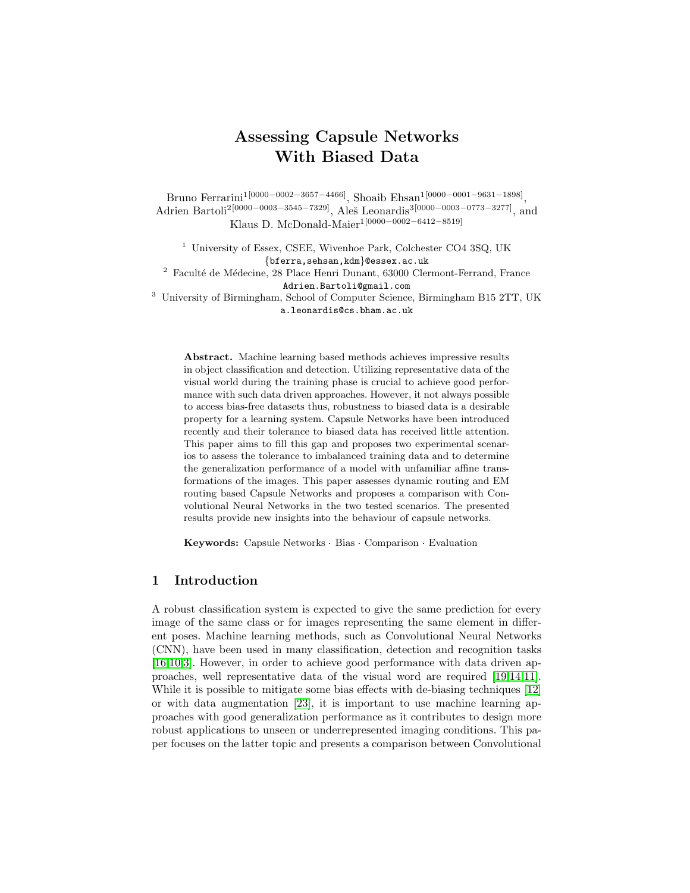# Assessing Capsule Networks With Biased Data

Bruno Ferrarini<sup>1[0000–0002–3657–4466]</sup>, Shoaib Ehsan<sup>1</sup>[<sup>0000–0001–9631–1898]</sup>, Adrien Bartoli<sup>2[0000–0003–3545–7329]</sup>, Aleš Leonardis<sup>3[0000–0003–0773–3277]</sup>, and Klaus D. McDonald-Maier1[0000−0002−6412−8519]

<sup>1</sup> University of Essex, CSEE, Wivenhoe Park, Colchester CO4 3SQ, UK {bferra,sehsan,kdm}@essex.ac.uk

 $^2\,$  Faculté de Médecine, 28 Place Henri Dunant, 63000 Clermont-Ferrand, France Adrien.Bartoli@gmail.com

<sup>3</sup> University of Birmingham, School of Computer Science, Birmingham B15 2TT, UK a.leonardis@cs.bham.ac.uk

Abstract. Machine learning based methods achieves impressive results in object classification and detection. Utilizing representative data of the visual world during the training phase is crucial to achieve good performance with such data driven approaches. However, it not always possible to access bias-free datasets thus, robustness to biased data is a desirable property for a learning system. Capsule Networks have been introduced recently and their tolerance to biased data has received little attention. This paper aims to fill this gap and proposes two experimental scenarios to assess the tolerance to imbalanced training data and to determine the generalization performance of a model with unfamiliar affine transformations of the images. This paper assesses dynamic routing and EM routing based Capsule Networks and proposes a comparison with Convolutional Neural Networks in the two tested scenarios. The presented results provide new insights into the behaviour of capsule networks.

Keywords: Capsule Networks Bias Comparison Evaluation

## 1 Introduction

A robust classification system is expected to give the same prediction for every image of the same class or for images representing the same element in different poses. Machine learning methods, such as Convolutional Neural Networks (CNN), have been used in many classification, detection and recognition tasks [\[16](#page-10-0)[,10](#page-10-1)[,3\]](#page-10-2). However, in order to achieve good performance with data driven approaches, well representative data of the visual word are required [\[19,](#page-10-3)[14,](#page-10-4)[11\]](#page-10-5). While it is possible to mitigate some bias effects with de-biasing techniques [\[12\]](#page-10-6) or with data augmentation [\[23\]](#page-11-0), it is important to use machine learning approaches with good generalization performance as it contributes to design more robust applications to unseen or underrepresented imaging conditions. This paper focuses on the latter topic and presents a comparison between Convolutional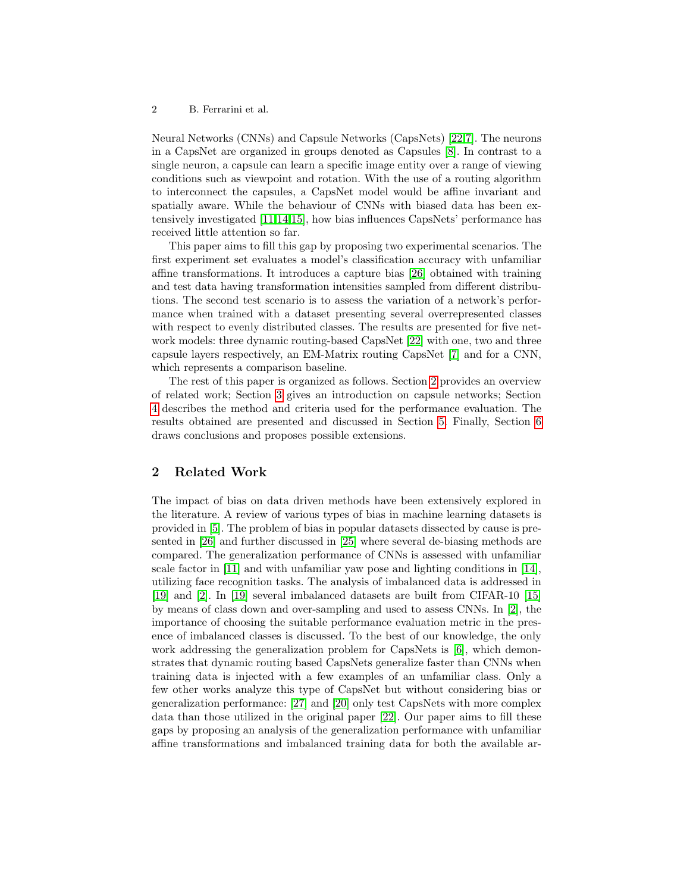Neural Networks (CNNs) and Capsule Networks (CapsNets) [\[22,](#page-11-1)[7\]](#page-10-7). The neurons in a CapsNet are organized in groups denoted as Capsules [\[8\]](#page-10-8). In contrast to a single neuron, a capsule can learn a specific image entity over a range of viewing conditions such as viewpoint and rotation. With the use of a routing algorithm to interconnect the capsules, a CapsNet model would be affine invariant and spatially aware. While the behaviour of CNNs with biased data has been extensively investigated [\[11,](#page-10-5)[14,](#page-10-4)[15\]](#page-10-9), how bias influences CapsNets' performance has received little attention so far.

This paper aims to fill this gap by proposing two experimental scenarios. The first experiment set evaluates a model's classification accuracy with unfamiliar affine transformations. It introduces a capture bias [\[26\]](#page-11-2) obtained with training and test data having transformation intensities sampled from different distributions. The second test scenario is to assess the variation of a network's performance when trained with a dataset presenting several overrepresented classes with respect to evenly distributed classes. The results are presented for five network models: three dynamic routing-based CapsNet [\[22\]](#page-11-1) with one, two and three capsule layers respectively, an EM-Matrix routing CapsNet [\[7\]](#page-10-7) and for a CNN, which represents a comparison baseline.

The rest of this paper is organized as follows. Section [2](#page-1-0) provides an overview of related work; Section [3](#page-2-0) gives an introduction on capsule networks; Section [4](#page-3-0) describes the method and criteria used for the performance evaluation. The results obtained are presented and discussed in Section [5.](#page-4-0) Finally, Section [6](#page-9-0) draws conclusions and proposes possible extensions.

# <span id="page-1-0"></span>2 Related Work

The impact of bias on data driven methods have been extensively explored in the literature. A review of various types of bias in machine learning datasets is provided in [\[5\]](#page-10-10). The problem of bias in popular datasets dissected by cause is presented in [\[26\]](#page-11-2) and further discussed in [\[25\]](#page-11-3) where several de-biasing methods are compared. The generalization performance of CNNs is assessed with unfamiliar scale factor in [\[11\]](#page-10-5) and with unfamiliar yaw pose and lighting conditions in [\[14\]](#page-10-4), utilizing face recognition tasks. The analysis of imbalanced data is addressed in [\[19\]](#page-10-3) and [\[2\]](#page-10-11). In [\[19\]](#page-10-3) several imbalanced datasets are built from CIFAR-10 [\[15\]](#page-10-9) by means of class down and over-sampling and used to assess CNNs. In [\[2\]](#page-10-11), the importance of choosing the suitable performance evaluation metric in the presence of imbalanced classes is discussed. To the best of our knowledge, the only work addressing the generalization problem for CapsNets is [\[6\]](#page-10-12), which demonstrates that dynamic routing based CapsNets generalize faster than CNNs when training data is injected with a few examples of an unfamiliar class. Only a few other works analyze this type of CapsNet but without considering bias or generalization performance: [\[27\]](#page-11-4) and [\[20\]](#page-10-13) only test CapsNets with more complex data than those utilized in the original paper [\[22\]](#page-11-1). Our paper aims to fill these gaps by proposing an analysis of the generalization performance with unfamiliar affine transformations and imbalanced training data for both the available ar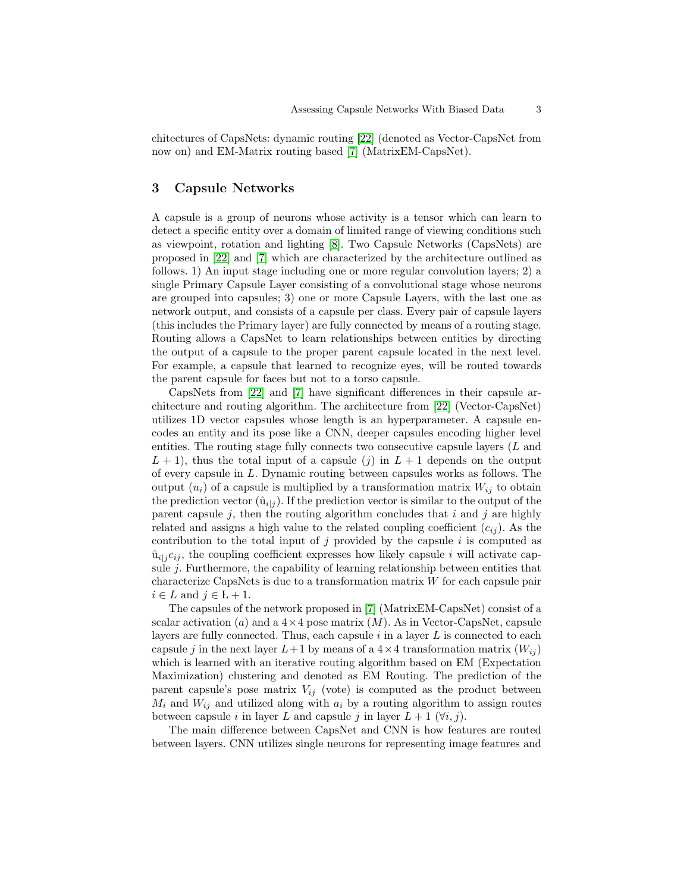chitectures of CapsNets: dynamic routing [\[22\]](#page-11-1) (denoted as Vector-CapsNet from now on) and EM-Matrix routing based [\[7\]](#page-10-7) (MatrixEM-CapsNet).

## <span id="page-2-0"></span>3 Capsule Networks

A capsule is a group of neurons whose activity is a tensor which can learn to detect a specific entity over a domain of limited range of viewing conditions such as viewpoint, rotation and lighting [\[8\]](#page-10-8). Two Capsule Networks (CapsNets) are proposed in [\[22\]](#page-11-1) and [\[7\]](#page-10-7) which are characterized by the architecture outlined as follows. 1) An input stage including one or more regular convolution layers; 2) a single Primary Capsule Layer consisting of a convolutional stage whose neurons are grouped into capsules; 3) one or more Capsule Layers, with the last one as network output, and consists of a capsule per class. Every pair of capsule layers (this includes the Primary layer) are fully connected by means of a routing stage. Routing allows a CapsNet to learn relationships between entities by directing the output of a capsule to the proper parent capsule located in the next level. For example, a capsule that learned to recognize eyes, will be routed towards the parent capsule for faces but not to a torso capsule.

CapsNets from [\[22\]](#page-11-1) and [\[7\]](#page-10-7) have significant differences in their capsule architecture and routing algorithm. The architecture from [\[22\]](#page-11-1) (Vector-CapsNet) utilizes 1D vector capsules whose length is an hyperparameter. A capsule encodes an entity and its pose like a CNN, deeper capsules encoding higher level entities. The routing stage fully connects two consecutive capsule layers (L and  $L + 1$ , thus the total input of a capsule (j) in  $L + 1$  depends on the output of every capsule in L. Dynamic routing between capsules works as follows. The output  $(u_i)$  of a capsule is multiplied by a transformation matrix  $W_{ij}$  to obtain the prediction vector  $(\hat{u}_{i|j})$ . If the prediction vector is similar to the output of the parent capsule  $j$ , then the routing algorithm concludes that i and j are highly related and assigns a high value to the related coupling coefficient  $(c_{ij})$ . As the contribution to the total input of j provided by the capsule i is computed as  $\hat{u}_{i,j} c_{ij}$ , the coupling coefficient expresses how likely capsule i will activate capsule  $i$ . Furthermore, the capability of learning relationship between entities that characterize CapsNets is due to a transformation matrix  $W$  for each capsule pair  $i \in L$  and  $j \in L + 1$ .

The capsules of the network proposed in [\[7\]](#page-10-7) (MatrixEM-CapsNet) consist of a scalar activation (a) and a  $4 \times 4$  pose matrix (M). As in Vector-CapsNet, capsule layers are fully connected. Thus, each capsule  $i$  in a layer  $L$  is connected to each capsule j in the next layer  $L+1$  by means of a  $4\times 4$  transformation matrix  $(W_{ij})$ which is learned with an iterative routing algorithm based on EM (Expectation Maximization) clustering and denoted as EM Routing. The prediction of the parent capsule's pose matrix  $V_{ij}$  (vote) is computed as the product between  $M_i$  and  $W_{ij}$  and utilized along with  $a_i$  by a routing algorithm to assign routes between capsule i in layer L and capsule j in layer  $L + 1$   $(\forall i, j)$ .

The main difference between CapsNet and CNN is how features are routed between layers. CNN utilizes single neurons for representing image features and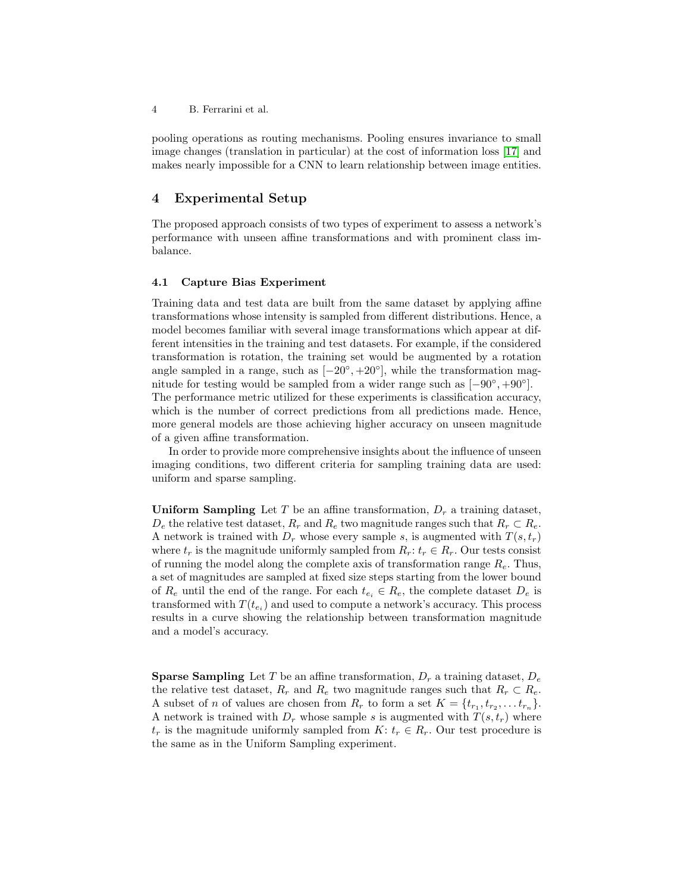4 B. Ferrarini et al.

pooling operations as routing mechanisms. Pooling ensures invariance to small image changes (translation in particular) at the cost of information loss [\[17\]](#page-10-14) and makes nearly impossible for a CNN to learn relationship between image entities.

# <span id="page-3-0"></span>4 Experimental Setup

The proposed approach consists of two types of experiment to assess a network's performance with unseen affine transformations and with prominent class imbalance.

#### 4.1 Capture Bias Experiment

Training data and test data are built from the same dataset by applying affine transformations whose intensity is sampled from different distributions. Hence, a model becomes familiar with several image transformations which appear at different intensities in the training and test datasets. For example, if the considered transformation is rotation, the training set would be augmented by a rotation angle sampled in a range, such as  $[-20^{\circ}, +20^{\circ}]$ , while the transformation magnitude for testing would be sampled from a wider range such as  $[-90^\circ, +90^\circ]$ . The performance metric utilized for these experiments is classification accuracy, which is the number of correct predictions from all predictions made. Hence, more general models are those achieving higher accuracy on unseen magnitude of a given affine transformation.

In order to provide more comprehensive insights about the influence of unseen imaging conditions, two different criteria for sampling training data are used: uniform and sparse sampling.

<span id="page-3-1"></span>Uniform Sampling Let T be an affine transformation,  $D_r$  a training dataset,  $D_e$  the relative test dataset,  $R_r$  and  $R_e$  two magnitude ranges such that  $R_r \subset R_e$ . A network is trained with  $D_r$  whose every sample s, is augmented with  $T(s, t_r)$ where  $t_r$  is the magnitude uniformly sampled from  $R_r: t_r \in R_r$ . Our tests consist of running the model along the complete axis of transformation range  $R_e$ . Thus, a set of magnitudes are sampled at fixed size steps starting from the lower bound of  $R_e$  until the end of the range. For each  $t_{e_i} \in R_e$ , the complete dataset  $D_e$  is transformed with  $T(t_{e_i})$  and used to compute a network's accuracy. This process results in a curve showing the relationship between transformation magnitude and a model's accuracy.

**Sparse Sampling** Let T be an affine transformation,  $D_r$  a training dataset,  $D_e$ the relative test dataset,  $R_r$  and  $R_e$  two magnitude ranges such that  $R_r \subset R_e$ . A subset of *n* of values are chosen from  $R_r$  to form a set  $K = \{t_{r_1}, t_{r_2}, \ldots t_{r_n}\}.$ A network is trained with  $D_r$  whose sample s is augmented with  $T(s, t_r)$  where  $t_r$  is the magnitude uniformly sampled from  $K: t_r \in R_r$ . Our test procedure is the same as in the Uniform Sampling experiment.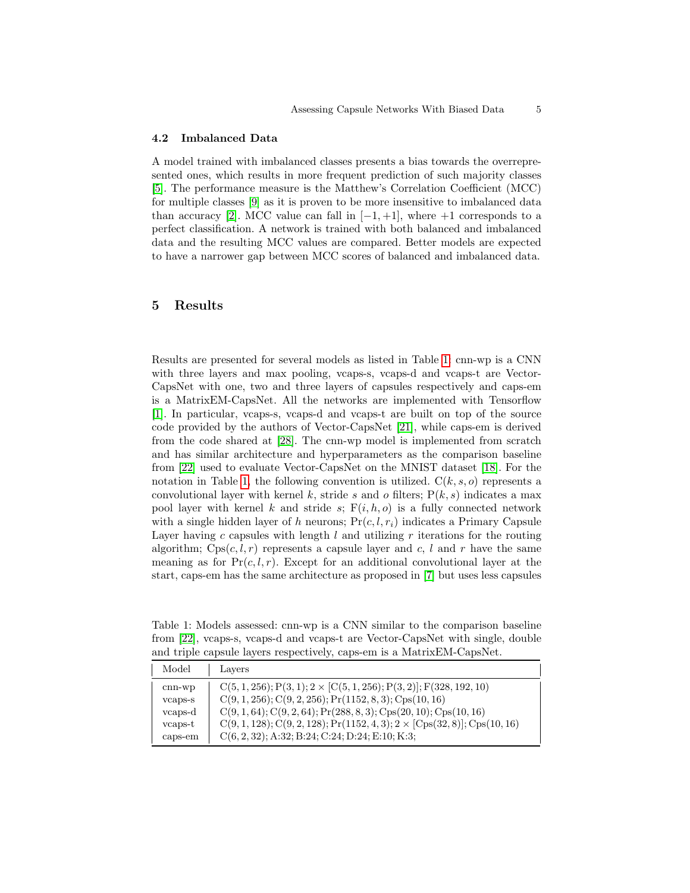#### 4.2 Imbalanced Data

A model trained with imbalanced classes presents a bias towards the overrepresented ones, which results in more frequent prediction of such majority classes [\[5\]](#page-10-10). The performance measure is the Matthew's Correlation Coefficient (MCC) for multiple classes [\[9\]](#page-10-15) as it is proven to be more insensitive to imbalanced data than accuracy [\[2\]](#page-10-11). MCC value can fall in  $[-1, +1]$ , where  $+1$  corresponds to a perfect classification. A network is trained with both balanced and imbalanced data and the resulting MCC values are compared. Better models are expected to have a narrower gap between MCC scores of balanced and imbalanced data.

### <span id="page-4-0"></span>5 Results

Results are presented for several models as listed in Table [1:](#page-4-1) cnn-wp is a CNN with three layers and max pooling, vcaps-s, vcaps-d and vcaps-t are Vector-CapsNet with one, two and three layers of capsules respectively and caps-em is a MatrixEM-CapsNet. All the networks are implemented with Tensorflow [\[1\]](#page-9-1). In particular, vcaps-s, vcaps-d and vcaps-t are built on top of the source code provided by the authors of Vector-CapsNet [\[21\]](#page-10-16), while caps-em is derived from the code shared at [\[28\]](#page-11-5). The cnn-wp model is implemented from scratch and has similar architecture and hyperparameters as the comparison baseline from [\[22\]](#page-11-1) used to evaluate Vector-CapsNet on the MNIST dataset [\[18\]](#page-10-17). For the notation in Table [1,](#page-4-1) the following convention is utilized.  $C(k, s, o)$  represents a convolutional layer with kernel k, stride s and o filters;  $P(k, s)$  indicates a max pool layer with kernel k and stride s;  $F(i, h, o)$  is a fully connected network with a single hidden layer of h neurons;  $Pr(c, l, r_i)$  indicates a Primary Capsule Layer having c capsules with length  $l$  and utilizing r iterations for the routing algorithm;  $Cps(c, l, r)$  represents a capsule layer and c, l and r have the same meaning as for  $Pr(c, l, r)$ . Except for an additional convolutional layer at the start, caps-em has the same architecture as proposed in [\[7\]](#page-10-7) but uses less capsules

<span id="page-4-1"></span>Table 1: Models assessed: cnn-wp is a CNN similar to the comparison baseline from [\[22\]](#page-11-1), vcaps-s, vcaps-d and vcaps-t are Vector-CapsNet with single, double and triple capsule layers respectively, caps-em is a MatrixEM-CapsNet.

| Model     | Layers                                                                           |
|-----------|----------------------------------------------------------------------------------|
| $cnn$ -wp | $C(5, 1, 256); P(3, 1); 2 \times [C(5, 1, 256); P(3, 2)]; F(328, 192, 10)$       |
| vcaps-s   | $C(9, 1, 256)$ ; $C(9, 2, 256)$ ; $Pr(1152, 8, 3)$ ; $Cps(10, 16)$               |
| vcaps-d   | $C(9, 1, 64); C(9, 2, 64); Pr(288, 8, 3); Cps(20, 10); Cps(10, 16)$              |
| vcaps-t   | $C(9, 1, 128); C(9, 2, 128); Pr(1152, 4, 3); 2 \times [Cps(32, 8)]; Cps(10, 16)$ |
| caps-em   | $C(6, 2, 32); A:32; B:24; C:24; D:24; E:10; K:3;$                                |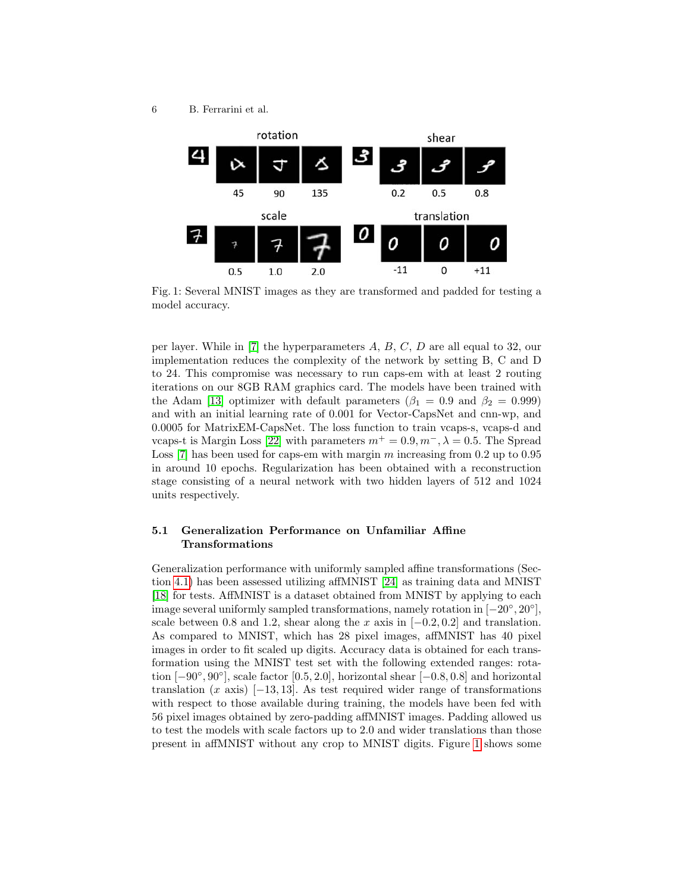<span id="page-5-0"></span>6 B. Ferrarini et al.



Fig. 1: Several MNIST images as they are transformed and padded for testing a model accuracy.

per layer. While in [\[7\]](#page-10-7) the hyperparameters A, B, C, D are all equal to 32, our implementation reduces the complexity of the network by setting B, C and D to 24. This compromise was necessary to run caps-em with at least 2 routing iterations on our 8GB RAM graphics card. The models have been trained with the Adam [\[13\]](#page-10-18) optimizer with default parameters ( $\beta_1 = 0.9$  and  $\beta_2 = 0.999$ ) and with an initial learning rate of 0.001 for Vector-CapsNet and cnn-wp, and 0.0005 for MatrixEM-CapsNet. The loss function to train vcaps-s, vcaps-d and vcaps-t is Margin Loss [\[22\]](#page-11-1) with parameters  $m^+ = 0.9, m^-, \lambda = 0.5$ . The Spread Loss [\[7\]](#page-10-7) has been used for caps-em with margin m increasing from  $0.2$  up to  $0.95$ in around 10 epochs. Regularization has been obtained with a reconstruction stage consisting of a neural network with two hidden layers of 512 and 1024 units respectively.

## 5.1 Generalization Performance on Unfamiliar Affine Transformations

Generalization performance with uniformly sampled affine transformations (Section [4.1\)](#page-3-1) has been assessed utilizing affMNIST [\[24\]](#page-11-6) as training data and MNIST [\[18\]](#page-10-17) for tests. AffMNIST is a dataset obtained from MNIST by applying to each image several uniformly sampled transformations, namely rotation in  $[-20^{\circ}, 20^{\circ}]$ , scale between 0.8 and 1.2, shear along the x axis in  $[-0.2, 0.2]$  and translation. As compared to MNIST, which has 28 pixel images, affMNIST has 40 pixel images in order to fit scaled up digits. Accuracy data is obtained for each transformation using the MNIST test set with the following extended ranges: rotation  $[-90^\circ, 90^\circ]$ , scale factor [0.5, 2.0], horizontal shear  $[-0.8, 0.8]$  and horizontal translation  $(x \text{ axis})$  [−13, 13]. As test required wider range of transformations with respect to those available during training, the models have been fed with 56 pixel images obtained by zero-padding affMNIST images. Padding allowed us to test the models with scale factors up to 2.0 and wider translations than those present in affMNIST without any crop to MNIST digits. Figure [1](#page-5-0) shows some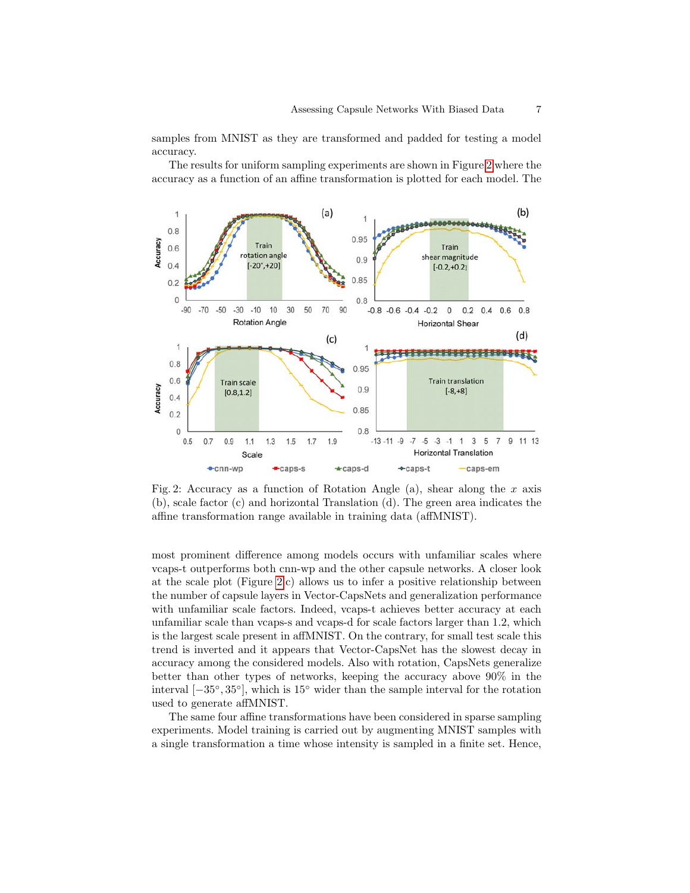samples from MNIST as they are transformed and padded for testing a model accuracy.

The results for uniform sampling experiments are shown in Figure [2](#page-6-0) where the accuracy as a function of an affine transformation is plotted for each model. The

<span id="page-6-0"></span>

Fig. 2: Accuracy as a function of Rotation Angle (a), shear along the  $x$  axis (b), scale factor (c) and horizontal Translation (d). The green area indicates the affine transformation range available in training data (affMNIST).

most prominent difference among models occurs with unfamiliar scales where vcaps-t outperforms both cnn-wp and the other capsule networks. A closer look at the scale plot (Figure [2.](#page-6-0)c) allows us to infer a positive relationship between the number of capsule layers in Vector-CapsNets and generalization performance with unfamiliar scale factors. Indeed, vcaps-t achieves better accuracy at each unfamiliar scale than vcaps-s and vcaps-d for scale factors larger than 1.2, which is the largest scale present in affMNIST. On the contrary, for small test scale this trend is inverted and it appears that Vector-CapsNet has the slowest decay in accuracy among the considered models. Also with rotation, CapsNets generalize better than other types of networks, keeping the accuracy above 90% in the interval [−35◦ , 35◦ ], which is 15◦ wider than the sample interval for the rotation used to generate affMNIST.

The same four affine transformations have been considered in sparse sampling experiments. Model training is carried out by augmenting MNIST samples with a single transformation a time whose intensity is sampled in a finite set. Hence,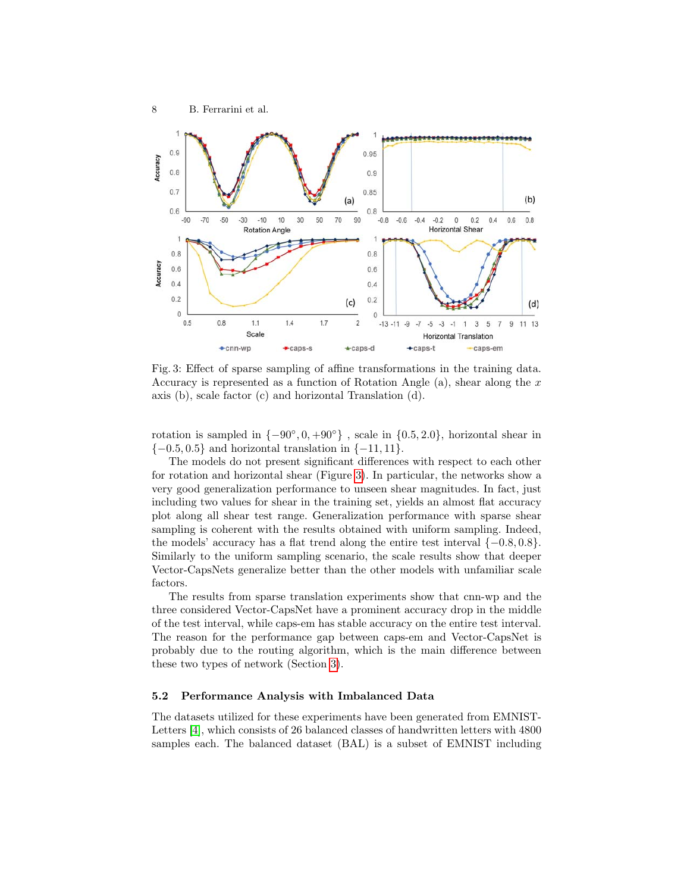<span id="page-7-0"></span>

Fig. 3: Effect of sparse sampling of affine transformations in the training data. Accuracy is represented as a function of Rotation Angle  $(a)$ , shear along the x axis (b), scale factor (c) and horizontal Translation (d).

rotation is sampled in  $\{-90^\circ, 0, +90^\circ\}$ , scale in  $\{0.5, 2.0\}$ , horizontal shear in  $\{-0.5, 0.5\}$  and horizontal translation in  $\{-11, 11\}$ .

The models do not present significant differences with respect to each other for rotation and horizontal shear (Figure [3\)](#page-7-0). In particular, the networks show a very good generalization performance to unseen shear magnitudes. In fact, just including two values for shear in the training set, yields an almost flat accuracy plot along all shear test range. Generalization performance with sparse shear sampling is coherent with the results obtained with uniform sampling. Indeed, the models' accuracy has a flat trend along the entire test interval  $\{-0.8, 0.8\}$ . Similarly to the uniform sampling scenario, the scale results show that deeper Vector-CapsNets generalize better than the other models with unfamiliar scale factors.

The results from sparse translation experiments show that cnn-wp and the three considered Vector-CapsNet have a prominent accuracy drop in the middle of the test interval, while caps-em has stable accuracy on the entire test interval. The reason for the performance gap between caps-em and Vector-CapsNet is probably due to the routing algorithm, which is the main difference between these two types of network (Section [3\)](#page-2-0).

#### 5.2 Performance Analysis with Imbalanced Data

The datasets utilized for these experiments have been generated from EMNIST-Letters [\[4\]](#page-10-19), which consists of 26 balanced classes of handwritten letters with 4800 samples each. The balanced dataset (BAL) is a subset of EMNIST including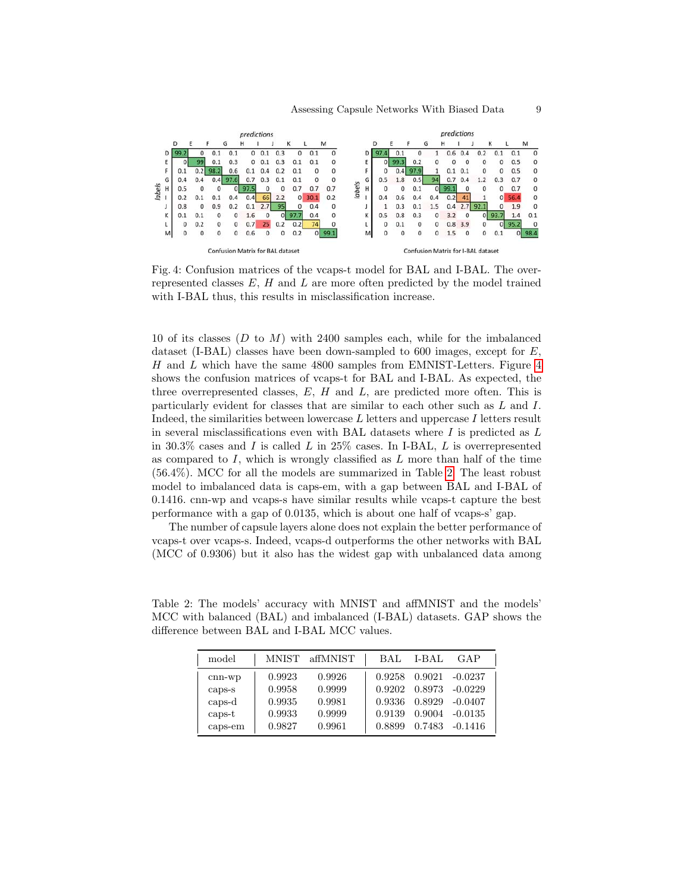<span id="page-8-0"></span>

Fig. 4: Confusion matrices of the vcaps-t model for BAL and I-BAL. The overrepresented classes  $E, H$  and  $L$  are more often predicted by the model trained with I-BAL thus, this results in misclassification increase.

10 of its classes (D to M) with 2400 samples each, while for the imbalanced dataset (I-BAL) classes have been down-sampled to  $600$  images, except for  $E$ , H and L which have the same 4800 samples from EMNIST-Letters. Figure [4](#page-8-0) shows the confusion matrices of vcaps-t for BAL and I-BAL. As expected, the three overrepresented classes,  $E$ ,  $H$  and  $L$ , are predicted more often. This is particularly evident for classes that are similar to each other such as L and I. Indeed, the similarities between lowercase  $L$  letters and uppercase  $I$  letters result in several misclassifications even with BAL datasets where  $I$  is predicted as  $L$ in 30.3% cases and I is called L in 25% cases. In I-BAL, L is overrepresented as compared to  $I$ , which is wrongly classified as  $L$  more than half of the time (56.4%). MCC for all the models are summarized in Table [2.](#page-8-1) The least robust model to imbalanced data is caps-em, with a gap between BAL and I-BAL of 0.1416. cnn-wp and vcaps-s have similar results while vcaps-t capture the best performance with a gap of 0.0135, which is about one half of vcaps-s' gap.

The number of capsule layers alone does not explain the better performance of vcaps-t over vcaps-s. Indeed, vcaps-d outperforms the other networks with BAL (MCC of 0.9306) but it also has the widest gap with unbalanced data among

<span id="page-8-1"></span>Table 2: The models' accuracy with MNIST and affMNIST and the models' MCC with balanced (BAL) and imbalanced (I-BAL) datasets. GAP shows the difference between BAL and I-BAL MCC values.

| model                                              | MNIST                                | affMNIST                             | BAL                                  | L-BAL                                | GAP                                            |  |
|----------------------------------------------------|--------------------------------------|--------------------------------------|--------------------------------------|--------------------------------------|------------------------------------------------|--|
| $cnn$ -wp<br>$caps-s$<br>caps-d<br>$\text{caps-t}$ | 0.9923<br>0.9958<br>0.9935<br>0.9933 | 0.9926<br>0.9999<br>0.9981<br>0.9999 | 0.9258<br>0.9202<br>0.9336<br>0.9139 | 0.9021<br>0.8973<br>0.8929<br>0.9004 | -0.0237<br>$-0.0229$<br>$-0.0407$<br>$-0.0135$ |  |
| caps-em                                            | 0.9827                               | 0.9961                               | 0.8899                               | 0.7483                               | $-0.1416$                                      |  |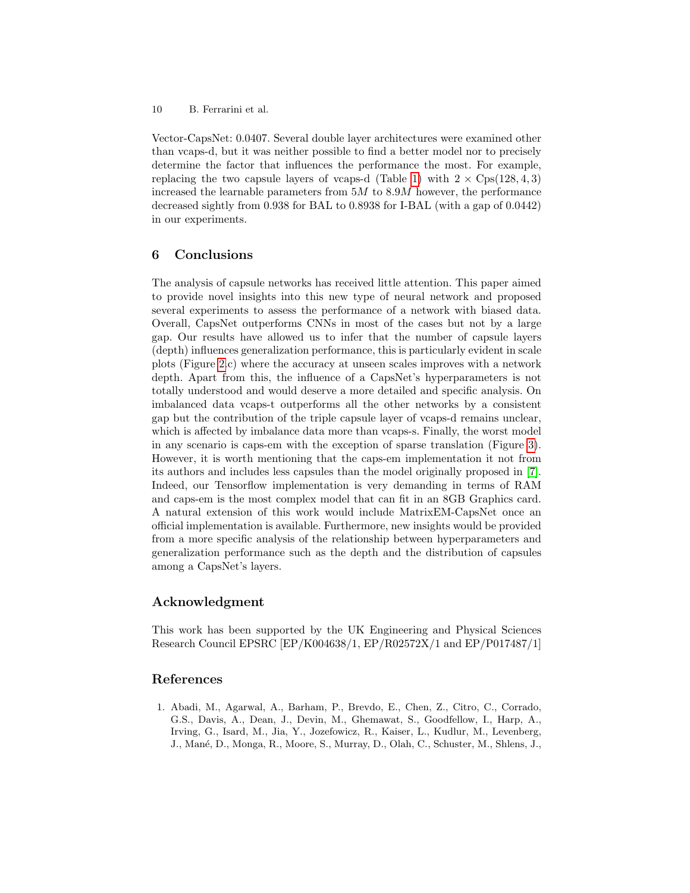10 B. Ferrarini et al.

Vector-CapsNet: 0.0407. Several double layer architectures were examined other than vcaps-d, but it was neither possible to find a better model nor to precisely determine the factor that influences the performance the most. For example, replacing the two capsule layers of vcaps-d (Table [1\)](#page-4-1) with  $2 \times \text{Cps}(128, 4, 3)$ increased the learnable parameters from  $5M$  to  $8.9M$  however, the performance decreased sightly from 0.938 for BAL to 0.8938 for I-BAL (with a gap of 0.0442) in our experiments.

# <span id="page-9-0"></span>6 Conclusions

The analysis of capsule networks has received little attention. This paper aimed to provide novel insights into this new type of neural network and proposed several experiments to assess the performance of a network with biased data. Overall, CapsNet outperforms CNNs in most of the cases but not by a large gap. Our results have allowed us to infer that the number of capsule layers (depth) influences generalization performance, this is particularly evident in scale plots (Figure [2.](#page-6-0)c) where the accuracy at unseen scales improves with a network depth. Apart from this, the influence of a CapsNet's hyperparameters is not totally understood and would deserve a more detailed and specific analysis. On imbalanced data vcaps-t outperforms all the other networks by a consistent gap but the contribution of the triple capsule layer of vcaps-d remains unclear, which is affected by imbalance data more than vcaps-s. Finally, the worst model in any scenario is caps-em with the exception of sparse translation (Figure [3\)](#page-7-0). However, it is worth mentioning that the caps-em implementation it not from its authors and includes less capsules than the model originally proposed in [\[7\]](#page-10-7). Indeed, our Tensorflow implementation is very demanding in terms of RAM and caps-em is the most complex model that can fit in an 8GB Graphics card. A natural extension of this work would include MatrixEM-CapsNet once an official implementation is available. Furthermore, new insights would be provided from a more specific analysis of the relationship between hyperparameters and generalization performance such as the depth and the distribution of capsules among a CapsNet's layers.

# Acknowledgment

This work has been supported by the UK Engineering and Physical Sciences Research Council EPSRC [EP/K004638/1, EP/R02572X/1 and EP/P017487/1]

## References

<span id="page-9-1"></span>1. Abadi, M., Agarwal, A., Barham, P., Brevdo, E., Chen, Z., Citro, C., Corrado, G.S., Davis, A., Dean, J., Devin, M., Ghemawat, S., Goodfellow, I., Harp, A., Irving, G., Isard, M., Jia, Y., Jozefowicz, R., Kaiser, L., Kudlur, M., Levenberg, J., Man´e, D., Monga, R., Moore, S., Murray, D., Olah, C., Schuster, M., Shlens, J.,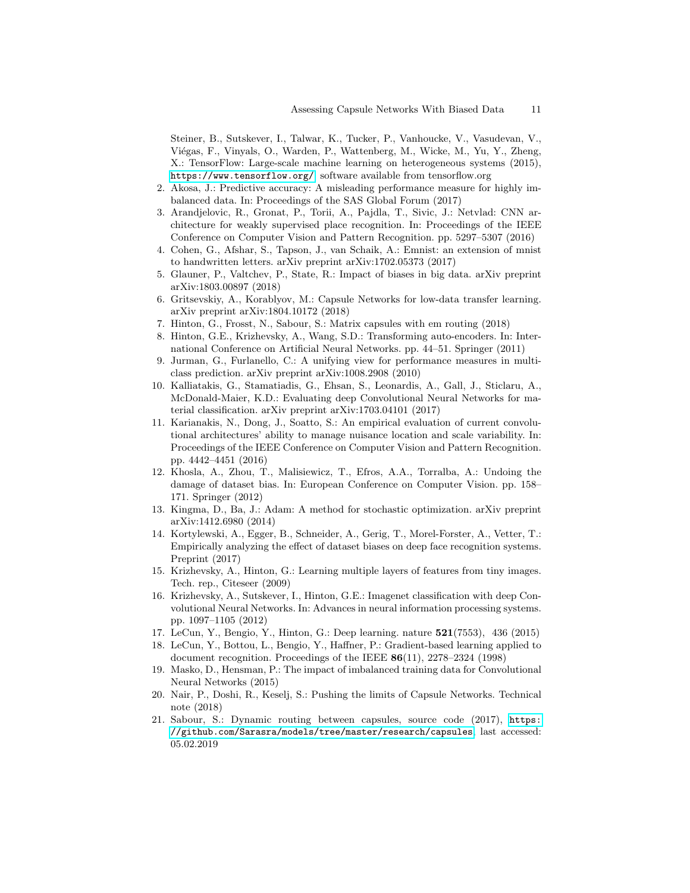Steiner, B., Sutskever, I., Talwar, K., Tucker, P., Vanhoucke, V., Vasudevan, V., Viégas, F., Vinyals, O., Warden, P., Wattenberg, M., Wicke, M., Yu, Y., Zheng, X.: TensorFlow: Large-scale machine learning on heterogeneous systems (2015), <https://www.tensorflow.org/>, software available from tensorflow.org

- <span id="page-10-11"></span>2. Akosa, J.: Predictive accuracy: A misleading performance measure for highly imbalanced data. In: Proceedings of the SAS Global Forum (2017)
- <span id="page-10-2"></span>3. Arandjelovic, R., Gronat, P., Torii, A., Pajdla, T., Sivic, J.: Netvlad: CNN architecture for weakly supervised place recognition. In: Proceedings of the IEEE Conference on Computer Vision and Pattern Recognition. pp. 5297–5307 (2016)
- <span id="page-10-19"></span>4. Cohen, G., Afshar, S., Tapson, J., van Schaik, A.: Emnist: an extension of mnist to handwritten letters. arXiv preprint arXiv:1702.05373 (2017)
- <span id="page-10-10"></span>5. Glauner, P., Valtchev, P., State, R.: Impact of biases in big data. arXiv preprint arXiv:1803.00897 (2018)
- <span id="page-10-12"></span>6. Gritsevskiy, A., Korablyov, M.: Capsule Networks for low-data transfer learning. arXiv preprint arXiv:1804.10172 (2018)
- <span id="page-10-7"></span>7. Hinton, G., Frosst, N., Sabour, S.: Matrix capsules with em routing (2018)
- <span id="page-10-8"></span>8. Hinton, G.E., Krizhevsky, A., Wang, S.D.: Transforming auto-encoders. In: International Conference on Artificial Neural Networks. pp. 44–51. Springer (2011)
- <span id="page-10-15"></span>9. Jurman, G., Furlanello, C.: A unifying view for performance measures in multiclass prediction. arXiv preprint arXiv:1008.2908 (2010)
- <span id="page-10-1"></span>10. Kalliatakis, G., Stamatiadis, G., Ehsan, S., Leonardis, A., Gall, J., Sticlaru, A., McDonald-Maier, K.D.: Evaluating deep Convolutional Neural Networks for material classification. arXiv preprint arXiv:1703.04101 (2017)
- <span id="page-10-5"></span>11. Karianakis, N., Dong, J., Soatto, S.: An empirical evaluation of current convolutional architectures' ability to manage nuisance location and scale variability. In: Proceedings of the IEEE Conference on Computer Vision and Pattern Recognition. pp. 4442–4451 (2016)
- <span id="page-10-6"></span>12. Khosla, A., Zhou, T., Malisiewicz, T., Efros, A.A., Torralba, A.: Undoing the damage of dataset bias. In: European Conference on Computer Vision. pp. 158– 171. Springer (2012)
- <span id="page-10-18"></span>13. Kingma, D., Ba, J.: Adam: A method for stochastic optimization. arXiv preprint arXiv:1412.6980 (2014)
- <span id="page-10-4"></span>14. Kortylewski, A., Egger, B., Schneider, A., Gerig, T., Morel-Forster, A., Vetter, T.: Empirically analyzing the effect of dataset biases on deep face recognition systems. Preprint (2017)
- <span id="page-10-9"></span>15. Krizhevsky, A., Hinton, G.: Learning multiple layers of features from tiny images. Tech. rep., Citeseer (2009)
- <span id="page-10-0"></span>16. Krizhevsky, A., Sutskever, I., Hinton, G.E.: Imagenet classification with deep Convolutional Neural Networks. In: Advances in neural information processing systems. pp. 1097–1105 (2012)
- <span id="page-10-14"></span>17. LeCun, Y., Bengio, Y., Hinton, G.: Deep learning. nature 521(7553), 436 (2015)
- <span id="page-10-17"></span>18. LeCun, Y., Bottou, L., Bengio, Y., Haffner, P.: Gradient-based learning applied to document recognition. Proceedings of the IEEE 86(11), 2278–2324 (1998)
- <span id="page-10-3"></span>19. Masko, D., Hensman, P.: The impact of imbalanced training data for Convolutional Neural Networks (2015)
- <span id="page-10-13"></span>20. Nair, P., Doshi, R., Keselj, S.: Pushing the limits of Capsule Networks. Technical note (2018)
- <span id="page-10-16"></span>21. Sabour, S.: Dynamic routing between capsules, source code (2017), [https:](https://github.com/Sarasra/models/tree/master/research/capsules) [//github.com/Sarasra/models/tree/master/research/capsules](https://github.com/Sarasra/models/tree/master/research/capsules), last accessed: 05.02.2019